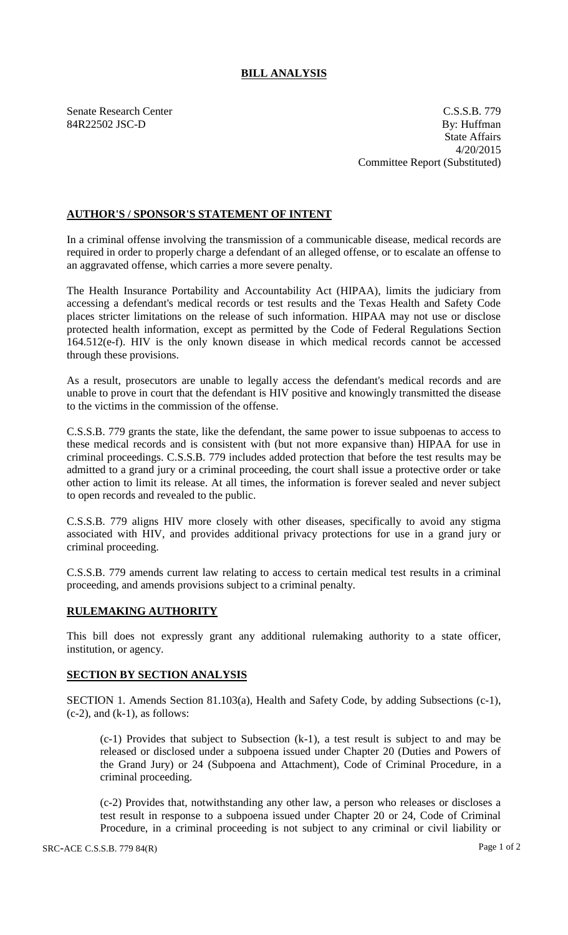## **BILL ANALYSIS**

Senate Research Center C.S.S.B. 779 84R22502 JSC-D By: Huffman State Affairs 4/20/2015 Committee Report (Substituted)

## **AUTHOR'S / SPONSOR'S STATEMENT OF INTENT**

In a criminal offense involving the transmission of a communicable disease, medical records are required in order to properly charge a defendant of an alleged offense, or to escalate an offense to an aggravated offense, which carries a more severe penalty.

The Health Insurance Portability and Accountability Act (HIPAA), limits the judiciary from accessing a defendant's medical records or test results and the Texas Health and Safety Code places stricter limitations on the release of such information. HIPAA may not use or disclose protected health information, except as permitted by the Code of Federal Regulations Section 164.512(e-f). HIV is the only known disease in which medical records cannot be accessed through these provisions.

As a result, prosecutors are unable to legally access the defendant's medical records and are unable to prove in court that the defendant is HIV positive and knowingly transmitted the disease to the victims in the commission of the offense.

C.S.S.B. 779 grants the state, like the defendant, the same power to issue subpoenas to access to these medical records and is consistent with (but not more expansive than) HIPAA for use in criminal proceedings. C.S.S.B. 779 includes added protection that before the test results may be admitted to a grand jury or a criminal proceeding, the court shall issue a protective order or take other action to limit its release. At all times, the information is forever sealed and never subject to open records and revealed to the public.

C.S.S.B. 779 aligns HIV more closely with other diseases, specifically to avoid any stigma associated with HIV, and provides additional privacy protections for use in a grand jury or criminal proceeding.

C.S.S.B. 779 amends current law relating to access to certain medical test results in a criminal proceeding, and amends provisions subject to a criminal penalty.

## **RULEMAKING AUTHORITY**

This bill does not expressly grant any additional rulemaking authority to a state officer, institution, or agency.

## **SECTION BY SECTION ANALYSIS**

SECTION 1. Amends Section 81.103(a), Health and Safety Code, by adding Subsections (c-1),  $(c-2)$ , and  $(k-1)$ , as follows:

(c-1) Provides that subject to Subsection (k-1), a test result is subject to and may be released or disclosed under a subpoena issued under Chapter 20 (Duties and Powers of the Grand Jury) or 24 (Subpoena and Attachment), Code of Criminal Procedure, in a criminal proceeding.

(c-2) Provides that, notwithstanding any other law, a person who releases or discloses a test result in response to a subpoena issued under Chapter 20 or 24, Code of Criminal Procedure, in a criminal proceeding is not subject to any criminal or civil liability or